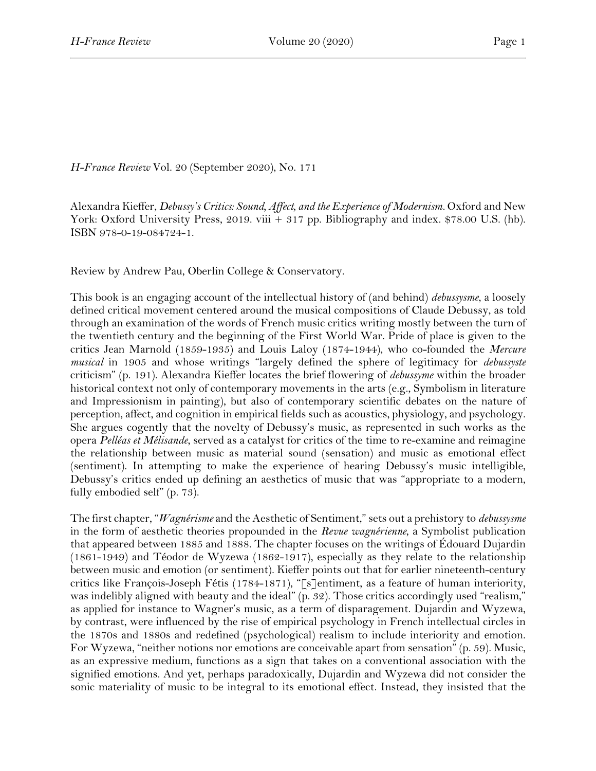*H-France Review* Vol. 20 (September 2020), No. 171

Alexandra Kieffer, *Debussy's Critics: Sound, Affect, and the Experience of Modernism.* Oxford and New York: Oxford University Press, 2019. viii + 317 pp. Bibliography and index. \$78.00 U.S. (hb). ISBN 978-0-19-084724-1.

Review by Andrew Pau, Oberlin College & Conservatory.

This book is an engaging account of the intellectual history of (and behind) *debussysme*, a loosely defined critical movement centered around the musical compositions of Claude Debussy, as told through an examination of the words of French music critics writing mostly between the turn of the twentieth century and the beginning of the First World War. Pride of place is given to the critics Jean Marnold (1859-1935) and Louis Laloy (1874-1944), who co-founded the *Mercure musical* in 1905 and whose writings "largely defined the sphere of legitimacy for *debussyste* criticism" (p. 191). Alexandra Kieffer locates the brief flowering of *debussyme* within the broader historical context not only of contemporary movements in the arts (e.g., Symbolism in literature and Impressionism in painting), but also of contemporary scientific debates on the nature of perception, affect, and cognition in empirical fields such as acoustics, physiology, and psychology. She argues cogently that the novelty of Debussy's music, as represented in such works as the opera *Pelléas et Mélisande*, served as a catalyst for critics of the time to re-examine and reimagine the relationship between music as material sound (sensation) and music as emotional effect (sentiment). In attempting to make the experience of hearing Debussy's music intelligible, Debussy's critics ended up defining an aesthetics of music that was "appropriate to a modern, fully embodied self" (p. 73).

The first chapter, "*Wagnérisme* and the Aesthetic of Sentiment," sets out a prehistory to *debussysme* in the form of aesthetic theories propounded in the *Revue wagnérienne*, a Symbolist publication that appeared between 1885 and 1888. The chapter focuses on the writings of Édouard Dujardin (1861-1949) and Téodor de Wyzewa (1862-1917), especially as they relate to the relationship between music and emotion (or sentiment). Kieffer points out that for earlier nineteenth-century critics like François-Joseph Fétis (1784-1871), "[s]entiment, as a feature of human interiority, was indelibly aligned with beauty and the ideal" (p. 32). Those critics accordingly used "realism," as applied for instance to Wagner's music, as a term of disparagement. Dujardin and Wyzewa, by contrast, were influenced by the rise of empirical psychology in French intellectual circles in the 1870s and 1880s and redefined (psychological) realism to include interiority and emotion. For Wyzewa, "neither notions nor emotions are conceivable apart from sensation" (p. 59). Music, as an expressive medium, functions as a sign that takes on a conventional association with the signified emotions. And yet, perhaps paradoxically, Dujardin and Wyzewa did not consider the sonic materiality of music to be integral to its emotional effect. Instead, they insisted that the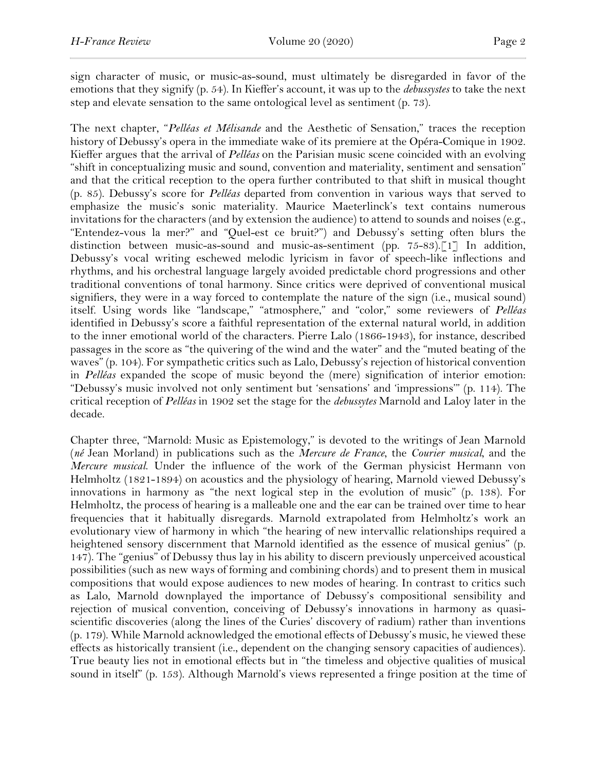sign character of music, or music-as-sound, must ultimately be disregarded in favor of the emotions that they signify (p. 54). In Kieffer's account, it was up to the *debussystes* to take the next step and elevate sensation to the same ontological level as sentiment (p. 73).

The next chapter, "*Pelléas et Mélisande* and the Aesthetic of Sensation," traces the reception history of Debussy's opera in the immediate wake of its premiere at the Opéra-Comique in 1902. Kieffer argues that the arrival of *Pelléas* on the Parisian music scene coincided with an evolving "shift in conceptualizing music and sound, convention and materiality, sentiment and sensation" and that the critical reception to the opera further contributed to that shift in musical thought (p. 85). Debussy's score for *Pelléas* departed from convention in various ways that served to emphasize the music's sonic materiality. Maurice Maeterlinck's text contains numerous invitations for the characters (and by extension the audience) to attend to sounds and noises (e.g., "Entendez-vous la mer?" and "Quel-est ce bruit?") and Debussy's setting often blurs the distinction between music-as-sound and music-as-sentiment (pp. 75-83).<sup>[1]</sup> In addition, Debussy's vocal writing eschewed melodic lyricism in favor of speech-like inflections and rhythms, and his orchestral language largely avoided predictable chord progressions and other traditional conventions of tonal harmony. Since critics were deprived of conventional musical signifiers, they were in a way forced to contemplate the nature of the sign (i.e., musical sound) itself. Using words like "landscape," "atmosphere," and "color," some reviewers of *Pelléas* identified in Debussy's score a faithful representation of the external natural world, in addition to the inner emotional world of the characters. Pierre Lalo (1866-1943), for instance, described passages in the score as "the quivering of the wind and the water" and the "muted beating of the waves" (p. 104). For sympathetic critics such as Lalo, Debussy's rejection of historical convention in *Pelléas* expanded the scope of music beyond the (mere) signification of interior emotion: "Debussy's music involved not only sentiment but 'sensations' and 'impressions'" (p. 114). The critical reception of *Pelléas* in 1902 set the stage for the *debussytes* Marnold and Laloy later in the decade.

Chapter three, "Marnold: Music as Epistemology," is devoted to the writings of Jean Marnold (*né* Jean Morland) in publications such as the *Mercure de France*, the *Courier musical*, and the *Mercure musical*. Under the influence of the work of the German physicist Hermann von Helmholtz (1821-1894) on acoustics and the physiology of hearing, Marnold viewed Debussy's innovations in harmony as "the next logical step in the evolution of music" (p. 138). For Helmholtz, the process of hearing is a malleable one and the ear can be trained over time to hear frequencies that it habitually disregards. Marnold extrapolated from Helmholtz's work an evolutionary view of harmony in which "the hearing of new intervallic relationships required a heightened sensory discernment that Marnold identified as the essence of musical genius" (p. 147). The "genius" of Debussy thus lay in his ability to discern previously unperceived acoustical possibilities (such as new ways of forming and combining chords) and to present them in musical compositions that would expose audiences to new modes of hearing. In contrast to critics such as Lalo, Marnold downplayed the importance of Debussy's compositional sensibility and rejection of musical convention, conceiving of Debussy's innovations in harmony as quasiscientific discoveries (along the lines of the Curies' discovery of radium) rather than inventions (p. 179). While Marnold acknowledged the emotional effects of Debussy's music, he viewed these effects as historically transient (i.e., dependent on the changing sensory capacities of audiences). True beauty lies not in emotional effects but in "the timeless and objective qualities of musical sound in itself" (p. 153). Although Marnold's views represented a fringe position at the time of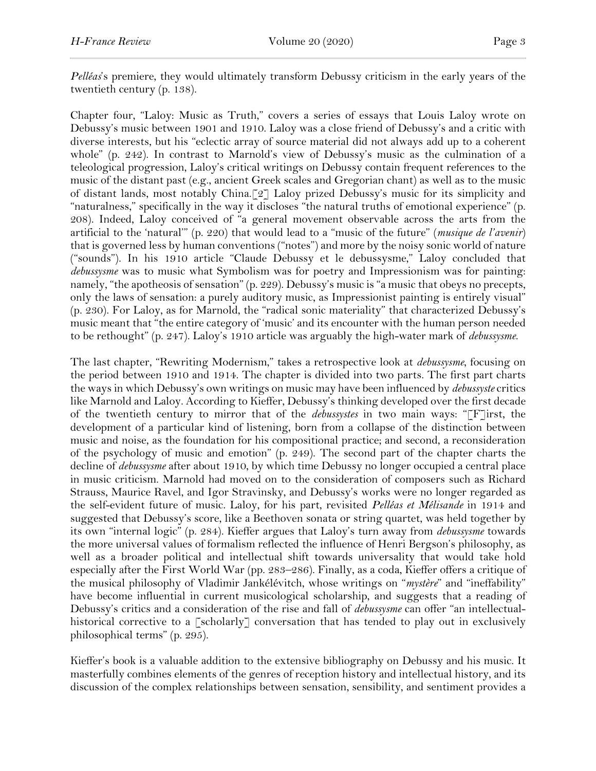*Pelléas*'s premiere, they would ultimately transform Debussy criticism in the early years of the twentieth century (p. 138).

Chapter four, "Laloy: Music as Truth," covers a series of essays that Louis Laloy wrote on Debussy's music between 1901 and 1910. Laloy was a close friend of Debussy's and a critic with diverse interests, but his "eclectic array of source material did not always add up to a coherent whole" (p. 242). In contrast to Marnold's view of Debussy's music as the culmination of a teleological progression, Laloy's critical writings on Debussy contain frequent references to the music of the distant past (e.g., ancient Greek scales and Gregorian chant) as well as to the music of distant lands, most notably China.[2] Laloy prized Debussy's music for its simplicity and "naturalness," specifically in the way it discloses "the natural truths of emotional experience" (p. 208). Indeed, Laloy conceived of "a general movement observable across the arts from the artificial to the 'natural'" (p. 220) that would lead to a "music of the future" (*musique de l'avenir*) that is governed less by human conventions ("notes") and more by the noisy sonic world of nature ("sounds"). In his 1910 article "Claude Debussy et le debussysme," Laloy concluded that *debussysme* was to music what Symbolism was for poetry and Impressionism was for painting: namely, "the apotheosis of sensation" (p. 229). Debussy's music is "a music that obeys no precepts, only the laws of sensation: a purely auditory music, as Impressionist painting is entirely visual" (p. 230). For Laloy, as for Marnold, the "radical sonic materiality" that characterized Debussy's music meant that "the entire category of 'music' and its encounter with the human person needed to be rethought" (p. 247). Laloy's 1910 article was arguably the high-water mark of *debussysme*.

The last chapter, "Rewriting Modernism," takes a retrospective look at *debussysme*, focusing on the period between 1910 and 1914. The chapter is divided into two parts. The first part charts the ways in which Debussy's own writings on music may have been influenced by *debussyste* critics like Marnold and Laloy. According to Kieffer, Debussy's thinking developed over the first decade of the twentieth century to mirror that of the *debussystes* in two main ways: "[F]irst, the development of a particular kind of listening, born from a collapse of the distinction between music and noise, as the foundation for his compositional practice; and second, a reconsideration of the psychology of music and emotion" (p. 249). The second part of the chapter charts the decline of *debussysme* after about 1910, by which time Debussy no longer occupied a central place in music criticism. Marnold had moved on to the consideration of composers such as Richard Strauss, Maurice Ravel, and Igor Stravinsky, and Debussy's works were no longer regarded as the self-evident future of music. Laloy, for his part, revisited *Pelléas et Mélisande* in 1914 and suggested that Debussy's score, like a Beethoven sonata or string quartet, was held together by its own "internal logic" (p. 284). Kieffer argues that Laloy's turn away from *debussysme* towards the more universal values of formalism reflected the influence of Henri Bergson's philosophy, as well as a broader political and intellectual shift towards universality that would take hold especially after the First World War (pp. 283–286). Finally, as a coda, Kieffer offers a critique of the musical philosophy of Vladimir Jankélévitch, whose writings on "*mystère*" and "ineffability" have become influential in current musicological scholarship, and suggests that a reading of Debussy's critics and a consideration of the rise and fall of *debussysme* can offer "an intellectualhistorical corrective to a [scholarly] conversation that has tended to play out in exclusively philosophical terms" (p. 295).

Kieffer's book is a valuable addition to the extensive bibliography on Debussy and his music. It masterfully combines elements of the genres of reception history and intellectual history, and its discussion of the complex relationships between sensation, sensibility, and sentiment provides a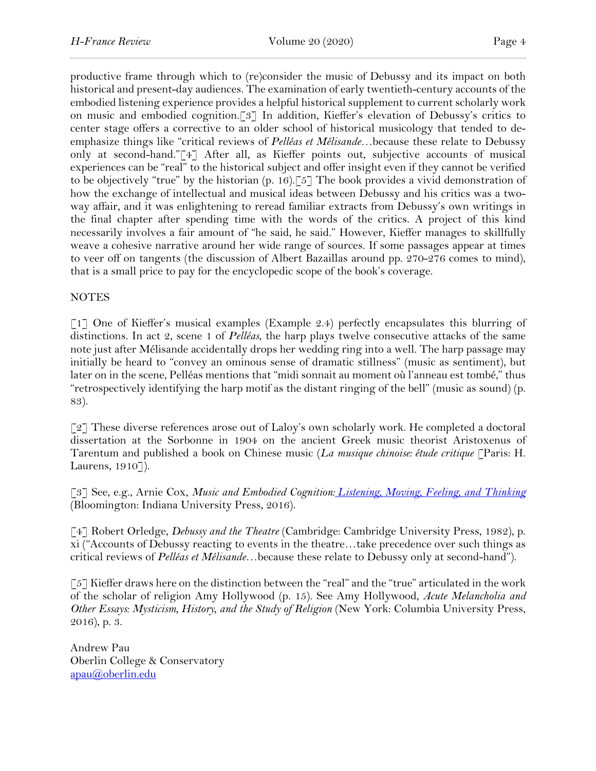productive frame through which to (re)consider the music of Debussy and its impact on both historical and present-day audiences. The examination of early twentieth-century accounts of the embodied listening experience provides a helpful historical supplement to current scholarly work on music and embodied cognition.[3] In addition, Kieffer's elevation of Debussy's critics to center stage offers a corrective to an older school of historical musicology that tended to deemphasize things like "critical reviews of *Pelléas et Mélisande*…because these relate to Debussy only at second-hand."[4] After all, as Kieffer points out, subjective accounts of musical experiences can be "real" to the historical subject and offer insight even if they cannot be verified to be objectively "true" by the historian  $(p. 16)$ . [5] The book provides a vivid demonstration of how the exchange of intellectual and musical ideas between Debussy and his critics was a twoway affair, and it was enlightening to reread familiar extracts from Debussy's own writings in the final chapter after spending time with the words of the critics. A project of this kind necessarily involves a fair amount of "he said, he said." However, Kieffer manages to skillfully weave a cohesive narrative around her wide range of sources. If some passages appear at times to veer off on tangents (the discussion of Albert Bazaillas around pp. 270-276 comes to mind), that is a small price to pay for the encyclopedic scope of the book's coverage.

## NOTES

[1] One of Kieffer's musical examples (Example 2.4) perfectly encapsulates this blurring of distinctions. In act 2, scene 1 of *Pelléas*, the harp plays twelve consecutive attacks of the same note just after Mélisande accidentally drops her wedding ring into a well. The harp passage may initially be heard to "convey an ominous sense of dramatic stillness" (music as sentiment), but later on in the scene, Pelléas mentions that "midi sonnait au moment où l'anneau est tombé," thus "retrospectively identifying the harp motif as the distant ringing of the bell" (music as sound) (p. 83).

[2] These diverse references arose out of Laloy's own scholarly work. He completed a doctoral dissertation at the Sorbonne in 1904 on the ancient Greek music theorist Aristoxenus of Tarentum and published a book on Chinese music (*La musique chinoise: étude critique* [Paris: H. Laurens, 1910]).

[3] See, e.g., Arnie Cox, *Music and Embodied Cognition: Listening, Moving, Feeling, and Thinking* (Bloomington: Indiana University Press, 2016).

[4] Robert Orledge, *Debussy and the Theatre* (Cambridge: Cambridge University Press, 1982), p. xi ("Accounts of Debussy reacting to events in the theatre…take precedence over such things as critical reviews of *Pelléas et Mélisande*…because these relate to Debussy only at second-hand").

[5] Kieffer draws here on the distinction between the "real" and the "true" articulated in the work of the scholar of religion Amy Hollywood (p. 15). See Amy Hollywood, *Acute Melancholia and Other Essays: Mysticism, History, and the Study of Religion* (New York: Columbia University Press, 2016), p. 3.

Andrew Pau Oberlin College & Conservatory apau@oberlin.edu